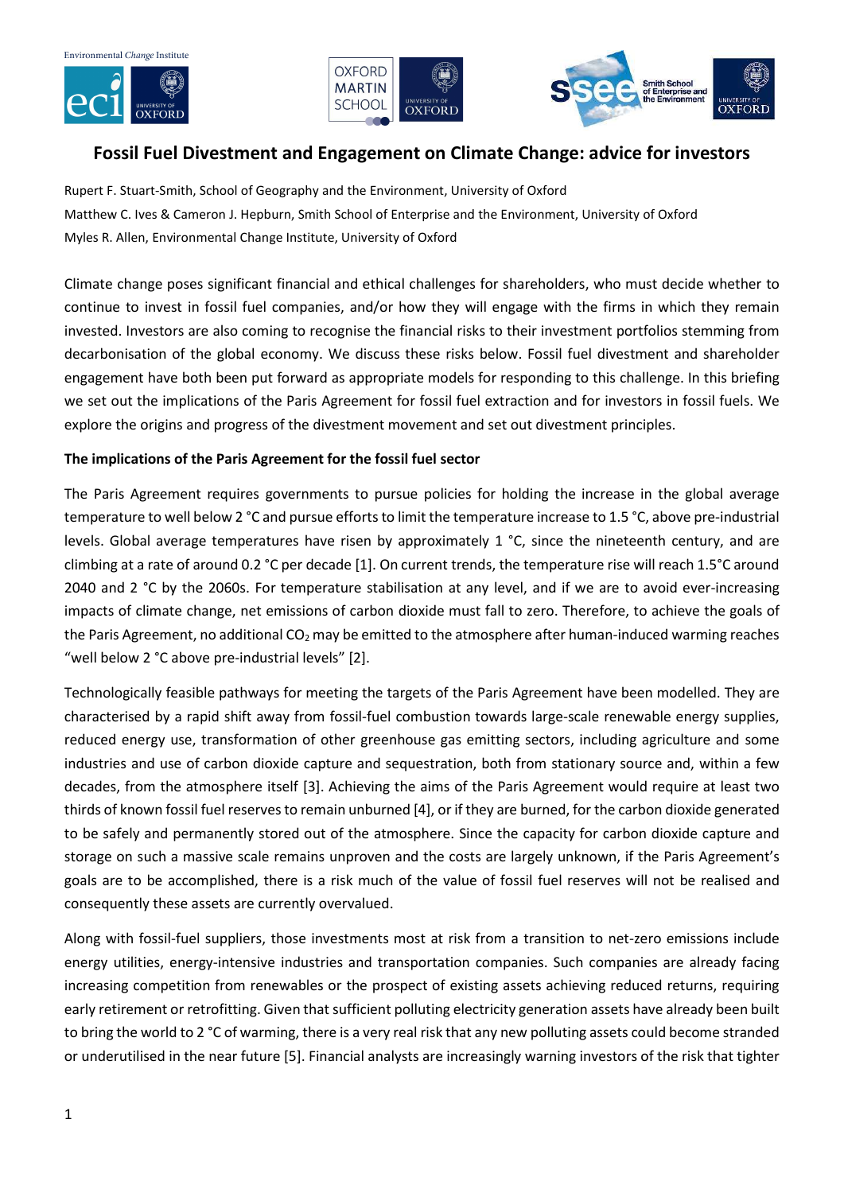





# Fossil Fuel Divestment and Engagement on Climate Change: advice for investors

Rupert F. Stuart-Smith, School of Geography and the Environment, University of Oxford Matthew C. Ives & Cameron J. Hepburn, Smith School of Enterprise and the Environment, University of Oxford Myles R. Allen, Environmental Change Institute, University of Oxford

Climate change poses significant financial and ethical challenges for shareholders, who must decide whether to continue to invest in fossil fuel companies, and/or how they will engage with the firms in which they remain invested. Investors are also coming to recognise the financial risks to their investment portfolios stemming from decarbonisation of the global economy. We discuss these risks below. Fossil fuel divestment and shareholder engagement have both been put forward as appropriate models for responding to this challenge. In this briefing we set out the implications of the Paris Agreement for fossil fuel extraction and for investors in fossil fuels. We explore the origins and progress of the divestment movement and set out divestment principles.

## The implications of the Paris Agreement for the fossil fuel sector

The Paris Agreement requires governments to pursue policies for holding the increase in the global average temperature to well below 2 °C and pursue efforts to limit the temperature increase to 1.5 °C, above pre-industrial levels. Global average temperatures have risen by approximately 1 °C, since the nineteenth century, and are climbing at a rate of around 0.2 °C per decade [1]. On current trends, the temperature rise will reach 1.5°C around 2040 and 2 °C by the 2060s. For temperature stabilisation at any level, and if we are to avoid ever-increasing impacts of climate change, net emissions of carbon dioxide must fall to zero. Therefore, to achieve the goals of the Paris Agreement, no additional  $CO<sub>2</sub>$  may be emitted to the atmosphere after human-induced warming reaches "well below 2 °C above pre-industrial levels" [2].

Technologically feasible pathways for meeting the targets of the Paris Agreement have been modelled. They are characterised by a rapid shift away from fossil-fuel combustion towards large-scale renewable energy supplies, reduced energy use, transformation of other greenhouse gas emitting sectors, including agriculture and some industries and use of carbon dioxide capture and sequestration, both from stationary source and, within a few decades, from the atmosphere itself [3]. Achieving the aims of the Paris Agreement would require at least two thirds of known fossil fuel reserves to remain unburned [4], or if they are burned, for the carbon dioxide generated to be safely and permanently stored out of the atmosphere. Since the capacity for carbon dioxide capture and storage on such a massive scale remains unproven and the costs are largely unknown, if the Paris Agreement's goals are to be accomplished, there is a risk much of the value of fossil fuel reserves will not be realised and consequently these assets are currently overvalued.

Along with fossil-fuel suppliers, those investments most at risk from a transition to net-zero emissions include energy utilities, energy-intensive industries and transportation companies. Such companies are already facing increasing competition from renewables or the prospect of existing assets achieving reduced returns, requiring early retirement or retrofitting. Given that sufficient polluting electricity generation assets have already been built to bring the world to 2 °C of warming, there is a very real risk that any new polluting assets could become stranded or underutilised in the near future [5]. Financial analysts are increasingly warning investors of the risk that tighter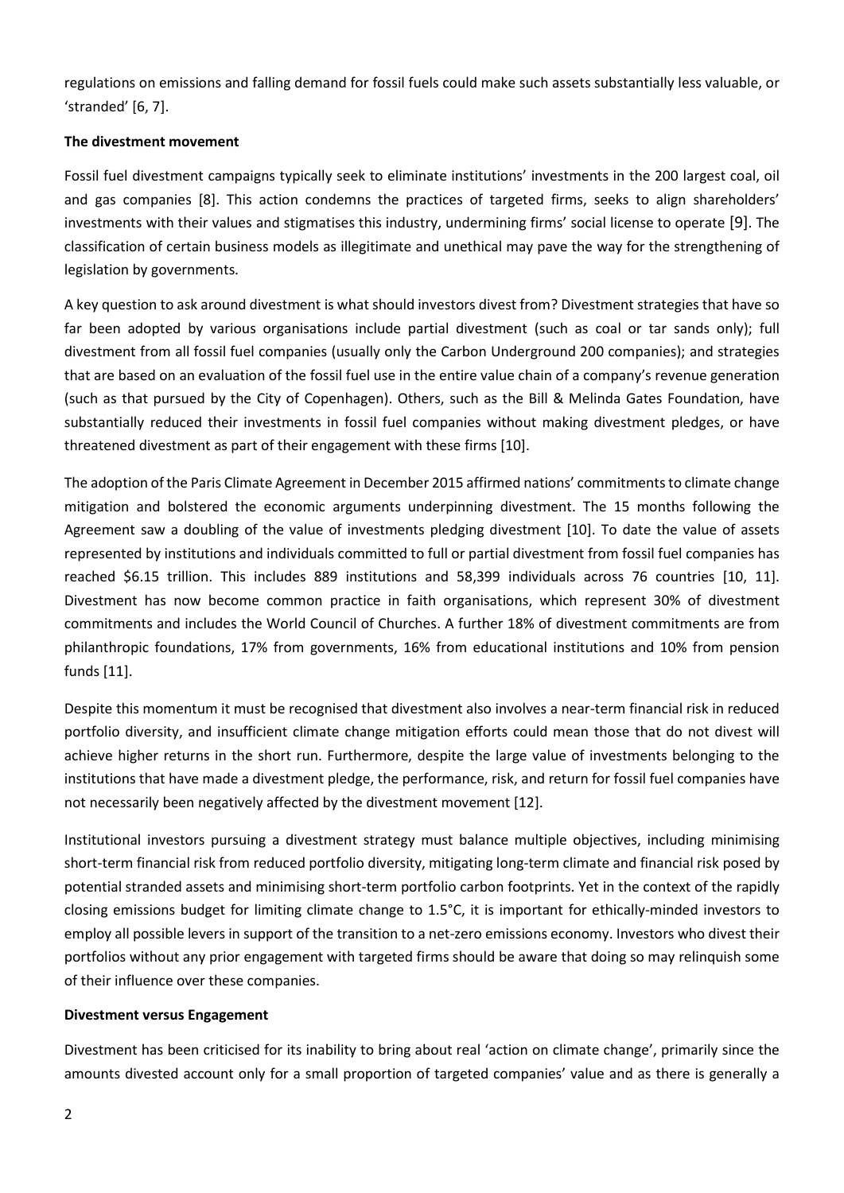regulations on emissions and falling demand for fossil fuels could make such assets substantially less valuable, or 'stranded' [6, 7].

### The divestment movement

Fossil fuel divestment campaigns typically seek to eliminate institutions' investments in the 200 largest coal, oil and gas companies [8]. This action condemns the practices of targeted firms, seeks to align shareholders' investments with their values and stigmatises this industry, undermining firms' social license to operate [9]. The classification of certain business models as illegitimate and unethical may pave the way for the strengthening of legislation by governments.

A key question to ask around divestment is what should investors divest from? Divestment strategies that have so far been adopted by various organisations include partial divestment (such as coal or tar sands only); full divestment from all fossil fuel companies (usually only the Carbon Underground 200 companies); and strategies that are based on an evaluation of the fossil fuel use in the entire value chain of a company's revenue generation (such as that pursued by the City of Copenhagen). Others, such as the Bill & Melinda Gates Foundation, have substantially reduced their investments in fossil fuel companies without making divestment pledges, or have threatened divestment as part of their engagement with these firms [10].

The adoption of the Paris Climate Agreement in December 2015 affirmed nations' commitments to climate change mitigation and bolstered the economic arguments underpinning divestment. The 15 months following the Agreement saw a doubling of the value of investments pledging divestment [10]. To date the value of assets represented by institutions and individuals committed to full or partial divestment from fossil fuel companies has reached \$6.15 trillion. This includes 889 institutions and 58,399 individuals across 76 countries [10, 11]. Divestment has now become common practice in faith organisations, which represent 30% of divestment commitments and includes the World Council of Churches. A further 18% of divestment commitments are from philanthropic foundations, 17% from governments, 16% from educational institutions and 10% from pension funds [11].

Despite this momentum it must be recognised that divestment also involves a near-term financial risk in reduced portfolio diversity, and insufficient climate change mitigation efforts could mean those that do not divest will achieve higher returns in the short run. Furthermore, despite the large value of investments belonging to the institutions that have made a divestment pledge, the performance, risk, and return for fossil fuel companies have not necessarily been negatively affected by the divestment movement [12].

Institutional investors pursuing a divestment strategy must balance multiple objectives, including minimising short-term financial risk from reduced portfolio diversity, mitigating long-term climate and financial risk posed by potential stranded assets and minimising short-term portfolio carbon footprints. Yet in the context of the rapidly closing emissions budget for limiting climate change to 1.5°C, it is important for ethically-minded investors to employ all possible levers in support of the transition to a net-zero emissions economy. Investors who divest their portfolios without any prior engagement with targeted firms should be aware that doing so may relinquish some of their influence over these companies.

#### Divestment versus Engagement

Divestment has been criticised for its inability to bring about real 'action on climate change', primarily since the amounts divested account only for a small proportion of targeted companies' value and as there is generally a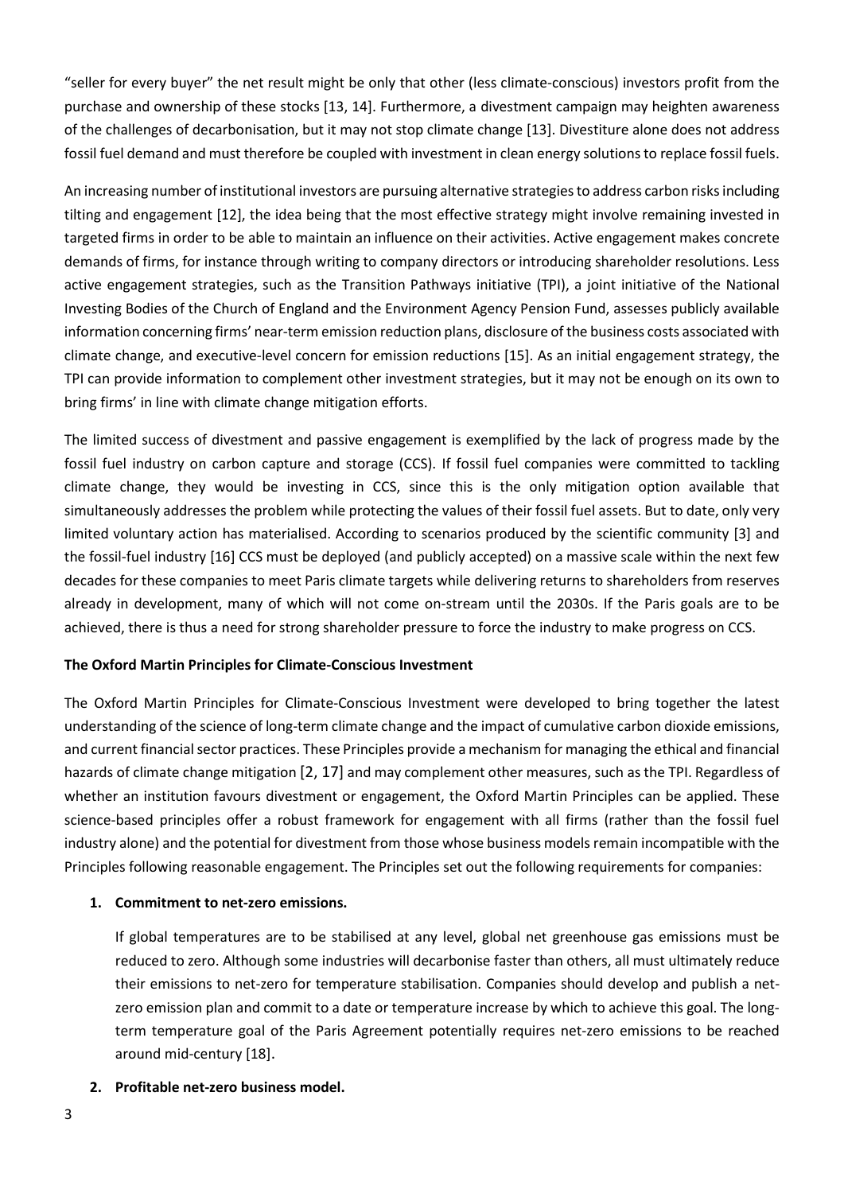"seller for every buyer" the net result might be only that other (less climate-conscious) investors profit from the purchase and ownership of these stocks [13, 14]. Furthermore, a divestment campaign may heighten awareness of the challenges of decarbonisation, but it may not stop climate change [13]. Divestiture alone does not address fossil fuel demand and must therefore be coupled with investment in clean energy solutions to replace fossil fuels.

An increasing number of institutional investors are pursuing alternative strategies to address carbon risks including tilting and engagement [12], the idea being that the most effective strategy might involve remaining invested in targeted firms in order to be able to maintain an influence on their activities. Active engagement makes concrete demands of firms, for instance through writing to company directors or introducing shareholder resolutions. Less active engagement strategies, such as the Transition Pathways initiative (TPI), a joint initiative of the National Investing Bodies of the Church of England and the Environment Agency Pension Fund, assesses publicly available information concerning firms' near-term emission reduction plans, disclosure of the business costs associated with climate change, and executive-level concern for emission reductions [15]. As an initial engagement strategy, the TPI can provide information to complement other investment strategies, but it may not be enough on its own to bring firms' in line with climate change mitigation efforts.

The limited success of divestment and passive engagement is exemplified by the lack of progress made by the fossil fuel industry on carbon capture and storage (CCS). If fossil fuel companies were committed to tackling climate change, they would be investing in CCS, since this is the only mitigation option available that simultaneously addresses the problem while protecting the values of their fossil fuel assets. But to date, only very limited voluntary action has materialised. According to scenarios produced by the scientific community [3] and the fossil-fuel industry [16] CCS must be deployed (and publicly accepted) on a massive scale within the next few decades for these companies to meet Paris climate targets while delivering returns to shareholders from reserves already in development, many of which will not come on-stream until the 2030s. If the Paris goals are to be achieved, there is thus a need for strong shareholder pressure to force the industry to make progress on CCS.

### The Oxford Martin Principles for Climate-Conscious Investment

The Oxford Martin Principles for Climate-Conscious Investment were developed to bring together the latest understanding of the science of long-term climate change and the impact of cumulative carbon dioxide emissions, and current financial sector practices. These Principles provide a mechanism for managing the ethical and financial hazards of climate change mitigation [2, 17] and may complement other measures, such as the TPI. Regardless of whether an institution favours divestment or engagement, the Oxford Martin Principles can be applied. These science-based principles offer a robust framework for engagement with all firms (rather than the fossil fuel industry alone) and the potential for divestment from those whose business models remain incompatible with the Principles following reasonable engagement. The Principles set out the following requirements for companies:

#### 1. Commitment to net-zero emissions.

If global temperatures are to be stabilised at any level, global net greenhouse gas emissions must be reduced to zero. Although some industries will decarbonise faster than others, all must ultimately reduce their emissions to net-zero for temperature stabilisation. Companies should develop and publish a netzero emission plan and commit to a date or temperature increase by which to achieve this goal. The longterm temperature goal of the Paris Agreement potentially requires net-zero emissions to be reached around mid-century [18].

#### 2. Profitable net-zero business model.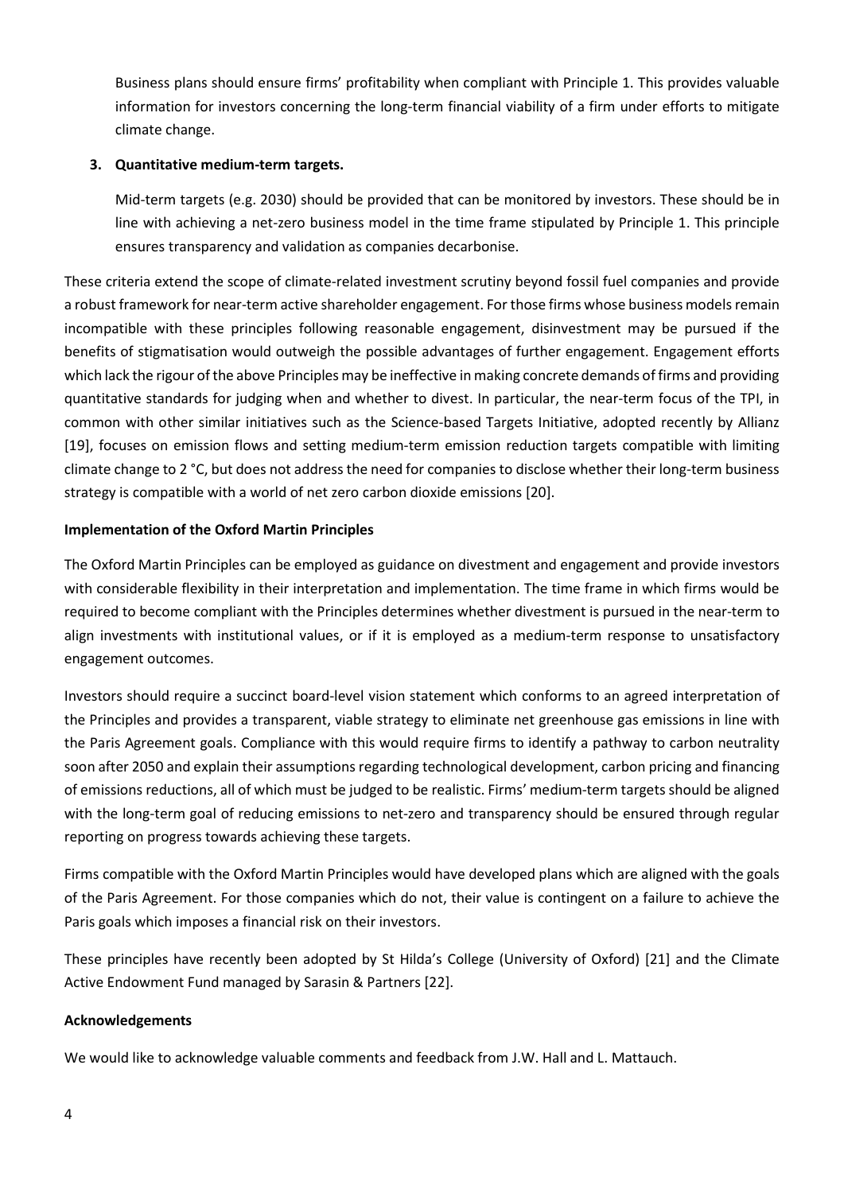Business plans should ensure firms' profitability when compliant with Principle 1. This provides valuable information for investors concerning the long-term financial viability of a firm under efforts to mitigate climate change.

### 3. Quantitative medium-term targets.

Mid-term targets (e.g. 2030) should be provided that can be monitored by investors. These should be in line with achieving a net-zero business model in the time frame stipulated by Principle 1. This principle ensures transparency and validation as companies decarbonise.

These criteria extend the scope of climate-related investment scrutiny beyond fossil fuel companies and provide a robust framework for near-term active shareholder engagement. For those firms whose business models remain incompatible with these principles following reasonable engagement, disinvestment may be pursued if the benefits of stigmatisation would outweigh the possible advantages of further engagement. Engagement efforts which lack the rigour of the above Principles may be ineffective in making concrete demands of firms and providing quantitative standards for judging when and whether to divest. In particular, the near-term focus of the TPI, in common with other similar initiatives such as the Science-based Targets Initiative, adopted recently by Allianz [19], focuses on emission flows and setting medium-term emission reduction targets compatible with limiting climate change to 2 °C, but does not address the need for companies to disclose whether their long-term business strategy is compatible with a world of net zero carbon dioxide emissions [20].

### Implementation of the Oxford Martin Principles

The Oxford Martin Principles can be employed as guidance on divestment and engagement and provide investors with considerable flexibility in their interpretation and implementation. The time frame in which firms would be required to become compliant with the Principles determines whether divestment is pursued in the near-term to align investments with institutional values, or if it is employed as a medium-term response to unsatisfactory engagement outcomes.

Investors should require a succinct board-level vision statement which conforms to an agreed interpretation of the Principles and provides a transparent, viable strategy to eliminate net greenhouse gas emissions in line with the Paris Agreement goals. Compliance with this would require firms to identify a pathway to carbon neutrality soon after 2050 and explain their assumptions regarding technological development, carbon pricing and financing of emissions reductions, all of which must be judged to be realistic. Firms' medium-term targets should be aligned with the long-term goal of reducing emissions to net-zero and transparency should be ensured through regular reporting on progress towards achieving these targets.

Firms compatible with the Oxford Martin Principles would have developed plans which are aligned with the goals of the Paris Agreement. For those companies which do not, their value is contingent on a failure to achieve the Paris goals which imposes a financial risk on their investors.

These principles have recently been adopted by St Hilda's College (University of Oxford) [21] and the Climate Active Endowment Fund managed by Sarasin & Partners [22].

#### Acknowledgements

We would like to acknowledge valuable comments and feedback from J.W. Hall and L. Mattauch.